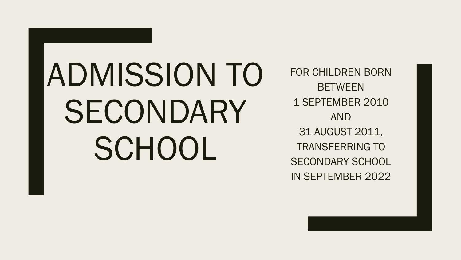# ADMISSION TO SECONDARY SCHOOL

FOR CHILDREN BORN **BETWEEN** 1 SEPTEMBER 2010 AND 31 AUGUST 2011, TRANSFERRING TO SECONDARY SCHOOL IN SEPTEMBER 2022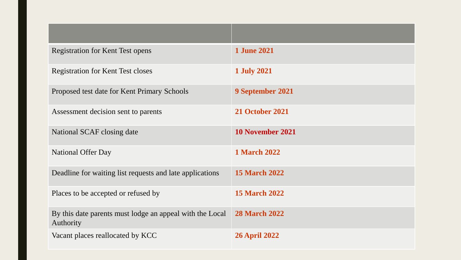| <b>Registration for Kent Test opens</b>                               | <b>1 June 2021</b>      |
|-----------------------------------------------------------------------|-------------------------|
| <b>Registration for Kent Test closes</b>                              | <b>1 July 2021</b>      |
| Proposed test date for Kent Primary Schools                           | 9 September 2021        |
| Assessment decision sent to parents                                   | <b>21 October 2021</b>  |
| National SCAF closing date                                            | <b>10 November 2021</b> |
| <b>National Offer Day</b>                                             | <b>1 March 2022</b>     |
| Deadline for waiting list requests and late applications              | <b>15 March 2022</b>    |
| Places to be accepted or refused by                                   | <b>15 March 2022</b>    |
| By this date parents must lodge an appeal with the Local<br>Authority | <b>28 March 2022</b>    |
| Vacant places reallocated by KCC                                      | <b>26 April 2022</b>    |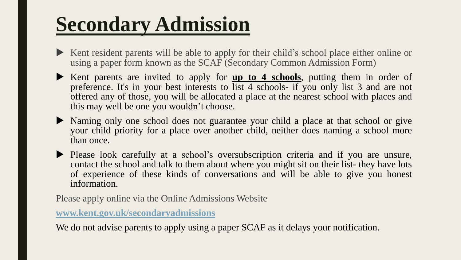## **Secondary Admission**

- Kent resident parents will be able to apply for their child's school place either online or using a paper form known as the SCAF (Secondary Common Admission Form)
- Kent parents are invited to apply for **up to 4 schools**, putting them in order of preference. It's in your best interests to list 4 schools- if you only list 3 and are not offered any of those, you will be allocated a place at the nearest school with places and this may well be one you wouldn't choose.
- Naming only one school does not guarantee your child a place at that school or give your child priority for a place over another child, neither does naming a school more than once.
- Please look carefully at a school's oversubscription criteria and if you are unsure, contact the school and talk to them about where you might sit on their list- they have lots of experience of these kinds of conversations and will be able to give you honest information.

Please apply online via the Online Admissions Website

**[www.kent.gov.uk/secondaryadmissions](http://www.kent.gov.uk/secondaryadmissions)**

We do not advise parents to apply using a paper SCAF as it delays your notification.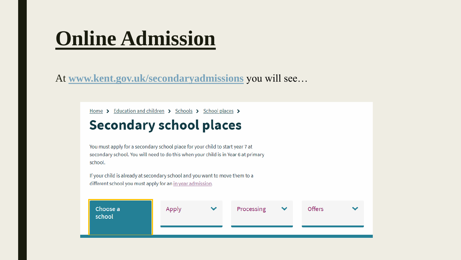### **Online Admission**

At **[www.kent.gov.uk/secondaryadmissions](http://www.kent.gov.uk/secondaryadmissions)** you will see…

Home > Education and children > Schools > School places >

### **Secondary school places**

You must apply for a secondary school place for your child to start year 7 at secondary school. You will need to do this when your child is in Year 6 at primary school.

If your child is already at secondary school and you want to move them to a different school you must apply for an in year admission.

| Choose a<br>school | Apply | $\checkmark$ | Processing | $\checkmark$ | <b>Offers</b> |  |
|--------------------|-------|--------------|------------|--------------|---------------|--|
|                    |       |              |            |              |               |  |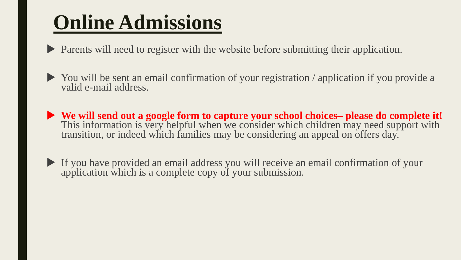### **Online Admissions**

Parents will need to register with the website before submitting their application.

- You will be sent an email confirmation of your registration / application if you provide a valid e-mail address.
- **We will send out a google form to capture your school choices– please do complete it!**  This information is very helpful when we consider which children may need support with transition, or indeed which families may be considering an appeal on offers day.
- If you have provided an email address you will receive an email confirmation of your application which is a complete copy of your submission.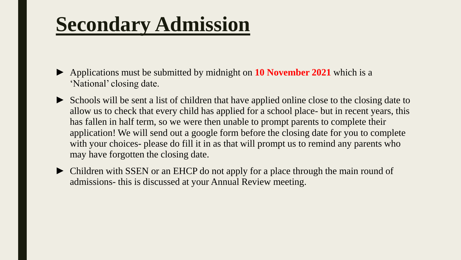### **Secondary Admission**

- ► Applications must be submitted by midnight on **10 November 2021** which is a 'National' closing date.
- ► Schools will be sent a list of children that have applied online close to the closing date to allow us to check that every child has applied for a school place- but in recent years, this has fallen in half term, so we were then unable to prompt parents to complete their application! We will send out a google form before the closing date for you to complete with your choices- please do fill it in as that will prompt us to remind any parents who may have forgotten the closing date.
- ► Children with SSEN or an EHCP do not apply for a place through the main round of admissions- this is discussed at your Annual Review meeting.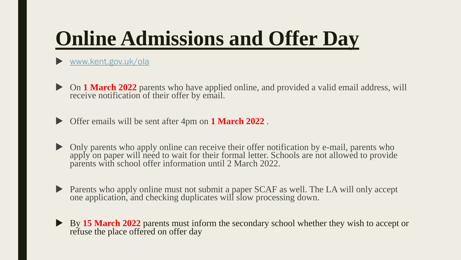### **Online Admissions and Offer Day**

#### [www.kent.gov.uk/ola](http://www.kent.gov.uk/ola)

 On **1 March 2022** parents who have applied online, and provided a valid email address, will receive notification of their offer by email.

Offer emails will be sent after 4pm on **1 March 2022** .

- Only parents who apply online can receive their offer notification by e-mail, parents who apply on paper will need to wait for their formal letter. Schools are not allowed to provide parents with school offer information until 2 March 2022.
- Parents who apply online must not submit a paper SCAF as well. The LA will only accept one application, and checking duplicates will slow processing down.
- By **15 March 2022** parents must inform the secondary school whether they wish to accept or refuse the place offered on offer day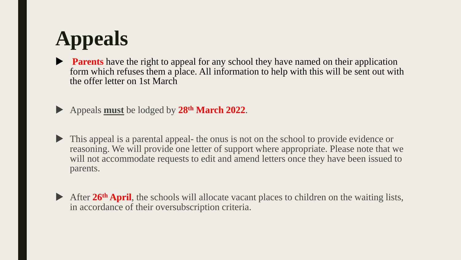# **Appeals**

- **Parents** have the right to appeal for any school they have named on their application form which refuses them a place. All information to help with this will be sent out with the offer letter on 1st March
- Appeals **must** be lodged by **28th March 2022**.
- This appeal is a parental appeal- the onus is not on the school to provide evidence or reasoning. We will provide one letter of support where appropriate. Please note that we will not accommodate requests to edit and amend letters once they have been issued to parents.
- After 26<sup>th</sup> April, the schools will allocate vacant places to children on the waiting lists, in accordance of their oversubscription criteria.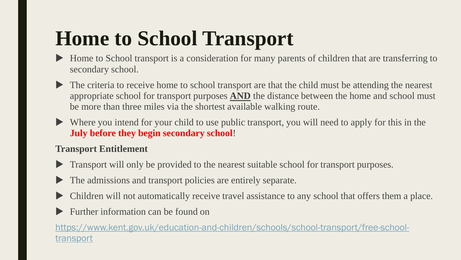## **Home to School Transport**

- Home to School transport is a consideration for many parents of children that are transferring to secondary school.
- The criteria to receive home to school transport are that the child must be attending the nearest appropriate school for transport purposes **AND** the distance between the home and school must be more than three miles via the shortest available walking route.
- Where you intend for your child to use public transport, you will need to apply for this in the **July before they begin secondary school**!

#### **Transport Entitlement**

- **Transport will only be provided to the nearest suitable school for transport purposes.**
- The admissions and transport policies are entirely separate.
- Children will not automatically receive travel assistance to any school that offers them a place.
- Further information can be found on

[https://www.kent.gov.uk/education-and-children/schools/school-transport/free-school](https://www.kent.gov.uk/education-and-children/schools/school-transport/free-school-transport)transport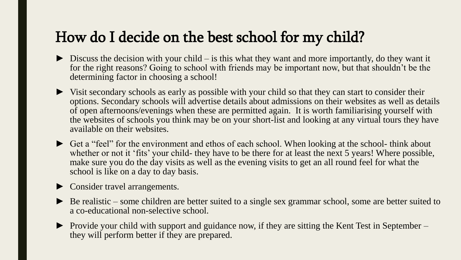### How do I decide on the best school for my child?

- $\triangleright$  Discuss the decision with your child is this what they want and more importantly, do they want it for the right reasons? Going to school with friends may be important now, but that shouldn't be the determining factor in choosing a school!
- ► Visit secondary schools as early as possible with your child so that they can start to consider their options. Secondary schools will advertise details about admissions on their websites as well as details of open afternoons/evenings when these are permitted again. It is worth familiarising yourself with the websites of schools you think may be on your short-list and looking at any virtual tours they have available on their websites.
- ► Get a "feel" for the environment and ethos of each school. When looking at the school- think about whether or not it 'fits' your child- they have to be there for at least the next 5 years! Where possible, make sure you do the day visits as well as the evening visits to get an all round feel for what the school is like on a day to day basis.
- ► Consider travel arrangements.
- ► Be realistic some children are better suited to a single sex grammar school, some are better suited to a co-educational non-selective school.
- ► Provide your child with support and guidance now, if they are sitting the Kent Test in September they will perform better if they are prepared.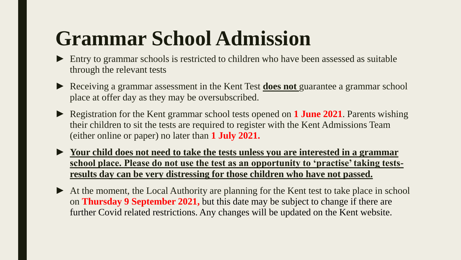### **Grammar School Admission**

- ► Entry to grammar schools is restricted to children who have been assessed as suitable through the relevant tests
- ► Receiving a grammar assessment in the Kent Test **does not** guarantee a grammar school place at offer day as they may be oversubscribed.
- ► Registration for the Kent grammar school tests opened on **1 June 2021**. Parents wishing their children to sit the tests are required to register with the Kent Admissions Team (either online or paper) no later than **1 July 2021.**

► **Your child does not need to take the tests unless you are interested in a grammar school place. Please do not use the test as an opportunity to 'practise' taking testsresults day can be very distressing for those children who have not passed.** 

► At the moment, the Local Authority are planning for the Kent test to take place in school on **Thursday 9 September 2021,** but this date may be subject to change if there are further Covid related restrictions. Any changes will be updated on the Kent website.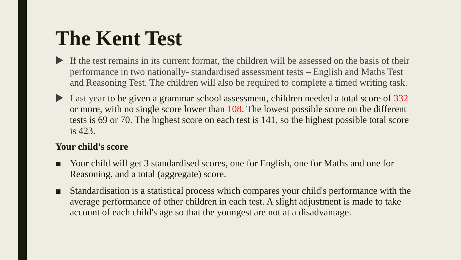### **The Kent Test**

- If the test remains in its current format, the children will be assessed on the basis of their performance in two nationally- standardised assessment tests – English and Maths Test and Reasoning Test. The children will also be required to complete a timed writing task.
- Last year to be given a grammar school assessment, children needed a total score of 332 or more, with no single score lower than 108. The lowest possible score on the different tests is 69 or 70. The highest score on each test is 141, so the highest possible total score is 423.

#### **Your child's score**

- Your child will get 3 standardised scores, one for English, one for Maths and one for Reasoning, and a total (aggregate) score.
- Standardisation is a statistical process which compares your child's performance with the average performance of other children in each test. A slight adjustment is made to take account of each child's age so that the youngest are not at a disadvantage.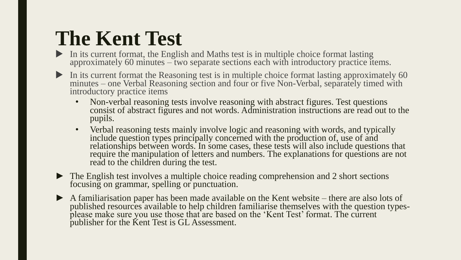### **The Kent Test**

- In its current format, the English and Maths test is in multiple choice format lasting approximately 60 minutes – two separate sections each with introductory practice items.
- In its current format the Reasoning test is in multiple choice format lasting approximately 60 minutes – one Verbal Reasoning section and four or five Non-Verbal, separately timed with introductory practice items
	- Non-verbal reasoning tests involve reasoning with abstract figures. Test questions consist of abstract figures and not words. Administration instructions are read out to the pupils.
	- Verbal reasoning tests mainly involve logic and reasoning with words, and typically include question types principally concerned with the production of, use of and relationships between words. In some cases, these tests will also include questions that require the manipulation of letters and numbers. The explanations for questions are not read to the children during the test.
- ► The English test involves a multiple choice reading comprehension and 2 short sections focusing on grammar, spelling or punctuation.
- ► A familiarisation paper has been made available on the Kent website there are also lots of published resources available to help children familiarise themselves with the question typesplease make sure you use those that are based on the 'Kent Test' format. The current publisher for the Kent Test is GL Assessment.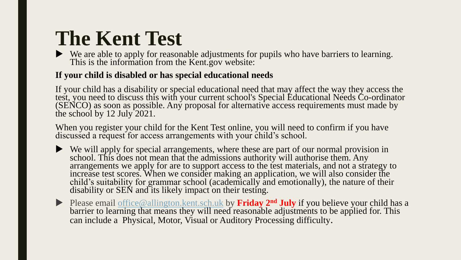### **The Kent Test**

We are able to apply for reasonable adjustments for pupils who have barriers to learning. This is the information from the Kent.gov website:

#### **If your child is disabled or has special educational needs**

If your child has a disability or special educational need that may affect the way they access the test, you need to discuss this with your current school's Special Educational Needs Co-ordinator (SENCO) as soon as possible. Any proposal for alternative access requirements must made by the school by 12 July 2021.

When you register your child for the Kent Test online, you will need to confirm if you have discussed a request for access arrangements with your child's school.

- We will apply for special arrangements, where these are part of our normal provision in school. This does not mean that the admissions authority will authorise them. Any arrangements we apply for are to support access to the test materials, and not a strategy to increase test scores. When we consider making an application, we will also consider the child's suitability for grammar school (academically and emotionally), the nature of their disability or SEN and its likely impact on their testing.
- ▶ Please email office @allington.kent.sch.uk by **Friday 2<sup>nd</sup> July** if you believe your child has a barrier to learning that means they will need reasonable adjustments to be applied for. This can include a Physical, Motor, Visual or Auditory Processing difficulty.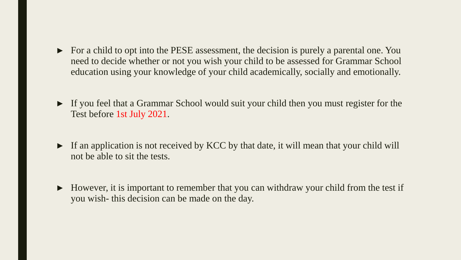- ► For a child to opt into the PESE assessment, the decision is purely a parental one. You need to decide whether or not you wish your child to be assessed for Grammar School education using your knowledge of your child academically, socially and emotionally.
- ► If you feel that a Grammar School would suit your child then you must register for the Test before 1st July 2021.
- ► If an application is not received by KCC by that date, it will mean that your child will not be able to sit the tests.
- ► However, it is important to remember that you can withdraw your child from the test if you wish- this decision can be made on the day.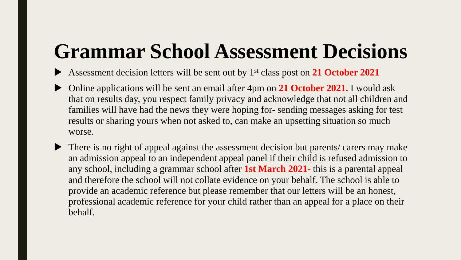## **Grammar School Assessment Decisions**

- Assessment decision letters will be sent out by 1st class post on **21 October 2021**
- Online applications will be sent an email after 4pm on **21 October 2021.** I would ask that on results day, you respect family privacy and acknowledge that not all children and families will have had the news they were hoping for- sending messages asking for test results or sharing yours when not asked to, can make an upsetting situation so much worse.
- There is no right of appeal against the assessment decision but parents/ carers may make an admission appeal to an independent appeal panel if their child is refused admission to any school, including a grammar school after **1st March 2021-** this is a parental appeal and therefore the school will not collate evidence on your behalf. The school is able to provide an academic reference but please remember that our letters will be an honest, professional academic reference for your child rather than an appeal for a place on their behalf.